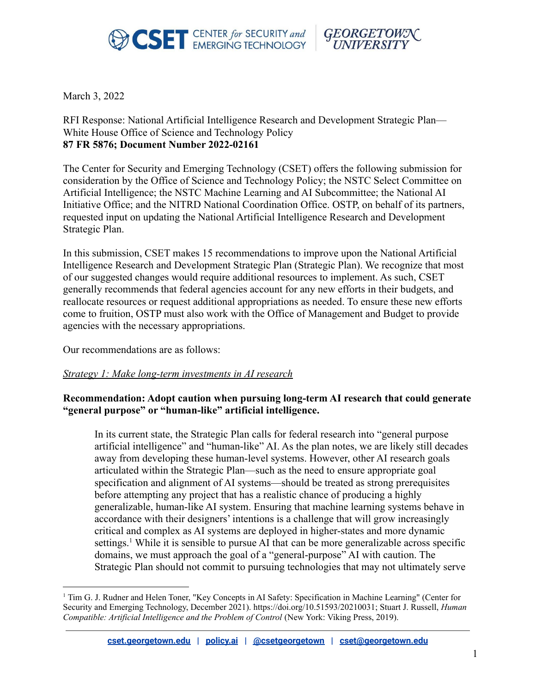



March 3, 2022

RFI Response: National Artificial Intelligence Research and Development Strategic Plan— White House Office of Science and Technology Policy **87 FR 5876; Document Number 2022-02161**

The Center for Security and Emerging Technology (CSET) offers the following submission for consideration by the Office of Science and Technology Policy; the NSTC Select Committee on Artificial Intelligence; the NSTC Machine Learning and AI Subcommittee; the National AI Initiative Office; and the NITRD National Coordination Office. OSTP, on behalf of its partners, requested input on updating the National Artificial Intelligence Research and Development Strategic Plan.

In this submission, CSET makes 15 recommendations to improve upon the National Artificial Intelligence Research and Development Strategic Plan (Strategic Plan). We recognize that most of our suggested changes would require additional resources to implement. As such, CSET generally recommends that federal agencies account for any new efforts in their budgets, and reallocate resources or request additional appropriations as needed. To ensure these new efforts come to fruition, OSTP must also work with the Office of Management and Budget to provide agencies with the necessary appropriations.

Our recommendations are as follows:

# *Strategy 1: Make long-term investments in AI research*

# **Recommendation: Adopt caution when pursuing long-term AI research that could generate "general purpose" or "human-like" artificial intelligence.**

In its current state, the Strategic Plan calls for federal research into "general purpose artificial intelligence" and "human-like" AI. As the plan notes, we are likely still decades away from developing these human-level systems. However, other AI research goals articulated within the Strategic Plan—such as the need to ensure appropriate goal specification and alignment of AI systems—should be treated as strong prerequisites before attempting any project that has a realistic chance of producing a highly generalizable, human-like AI system. Ensuring that machine learning systems behave in accordance with their designers' intentions is a challenge that will grow increasingly critical and complex as AI systems are deployed in higher-states and more dynamic settings.<sup>1</sup> While it is sensible to pursue AI that can be more generalizable across specific domains, we must approach the goal of a "general-purpose" AI with caution. The Strategic Plan should not commit to pursuing technologies that may not ultimately serve

<sup>1</sup> Tim G. J. Rudner and Helen Toner, "Key Concepts in AI Safety: Specification in Machine Learning" (Center for Security and Emerging Technology, December 2021). https://doi.org/10.51593/20210031; Stuart J. Russell, *Human Compatible: Artificial Intelligence and the Problem of Control* (New York: Viking Press, 2019).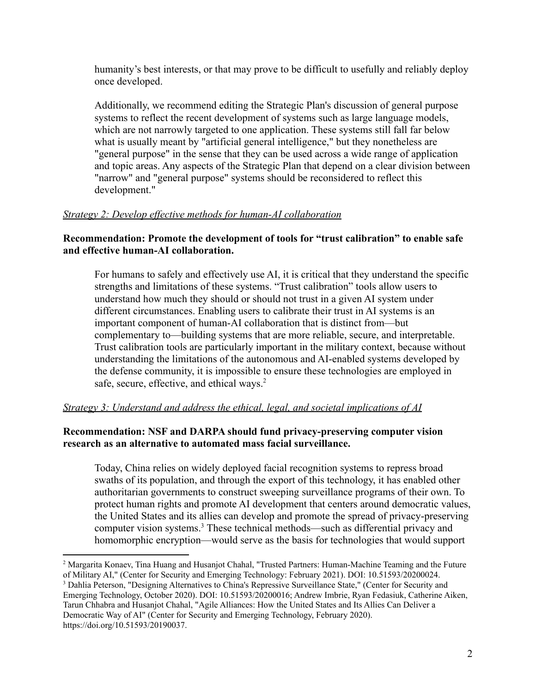humanity's best interests, or that may prove to be difficult to usefully and reliably deploy once developed.

Additionally, we recommend editing the Strategic Plan's discussion of general purpose systems to reflect the recent development of systems such as large language models, which are not narrowly targeted to one application. These systems still fall far below what is usually meant by "artificial general intelligence," but they nonetheless are "general purpose" in the sense that they can be used across a wide range of application and topic areas. Any aspects of the Strategic Plan that depend on a clear division between "narrow" and "general purpose" systems should be reconsidered to reflect this development."

# *Strategy 2: Develop effective methods for human-AI collaboration*

# **Recommendation: Promote the development of tools for "trust calibration" to enable safe and effective human-AI collaboration.**

For humans to safely and effectively use AI, it is critical that they understand the specific strengths and limitations of these systems. "Trust calibration" tools allow users to understand how much they should or should not trust in a given AI system under different circumstances. Enabling users to calibrate their trust in AI systems is an important component of human-AI collaboration that is distinct from—but complementary to—building systems that are more reliable, secure, and interpretable. Trust calibration tools are particularly important in the military context, because without understanding the limitations of the autonomous and AI-enabled systems developed by the defense community, it is impossible to ensure these technologies are employed in safe, secure, effective, and ethical ways.<sup>2</sup>

# *Strategy 3: Understand and address the ethical, legal, and societal implications of AI*

### **Recommendation: NSF and DARPA should fund privacy-preserving computer vision research as an alternative to automated mass facial surveillance.**

Today, China relies on widely deployed facial recognition systems to repress broad swaths of its population, and through the export of this technology, it has enabled other authoritarian governments to construct sweeping surveillance programs of their own. To protect human rights and promote AI development that centers around democratic values, the United States and its allies can develop and promote the spread of privacy-preserving computer vision systems.<sup>3</sup> These technical methods—such as differential privacy and homomorphic encryption—would serve as the basis for technologies that would support

<sup>2</sup> Margarita Konaev, Tina Huang and Husanjot Chahal, "Trusted Partners: Human-Machine Teaming and the Future of Military AI," (Center for Security and Emerging Technology: February 2021). DOI: 10.51593/20200024.

<sup>3</sup> Dahlia Peterson, "Designing Alternatives to China's Repressive Surveillance State," (Center for Security and Emerging Technology, October 2020). DOI: 10.51593/20200016; Andrew Imbrie, Ryan Fedasiuk, Catherine Aiken, Tarun Chhabra and Husanjot Chahal, "Agile Alliances: How the United States and Its Allies Can Deliver a Democratic Way of AI" (Center for Security and Emerging Technology, February 2020). https://doi.org/10.51593/20190037.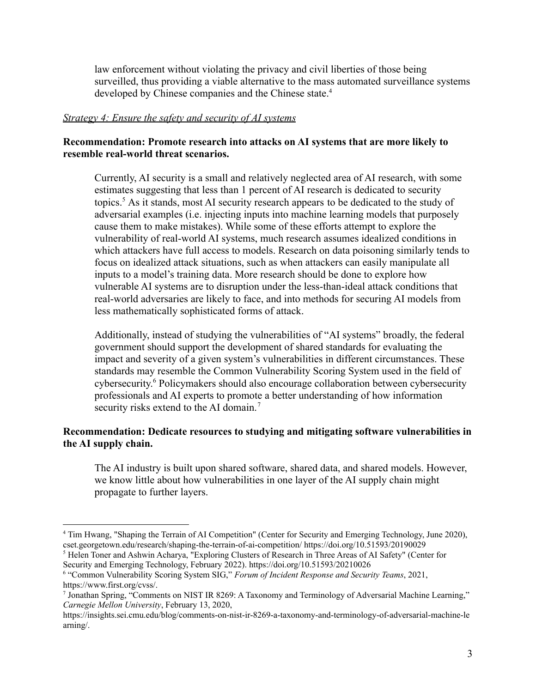law enforcement without violating the privacy and civil liberties of those being surveilled, thus providing a viable alternative to the mass automated surveillance systems developed by Chinese companies and the Chinese state.<sup>4</sup>

### *Strategy 4: Ensure the safety and security of AI systems*

# **Recommendation: Promote research into attacks on AI systems that are more likely to resemble real-world threat scenarios.**

Currently, AI security is a small and relatively neglected area of AI research, with some estimates suggesting that less than 1 percent of AI research is dedicated to security topics.<sup>5</sup> As it stands, most AI security research appears to be dedicated to the study of adversarial examples (i.e. injecting inputs into machine learning models that purposely cause them to make mistakes). While some of these efforts attempt to explore the vulnerability of real-world AI systems, much research assumes idealized conditions in which attackers have full access to models. Research on data poisoning similarly tends to focus on idealized attack situations, such as when attackers can easily manipulate all inputs to a model's training data. More research should be done to explore how vulnerable AI systems are to disruption under the less-than-ideal attack conditions that real-world adversaries are likely to face, and into methods for securing AI models from less mathematically sophisticated forms of attack.

Additionally, instead of studying the vulnerabilities of "AI systems" broadly, the federal government should support the development of shared standards for evaluating the impact and severity of a given system's vulnerabilities in different circumstances. These standards may resemble the Common Vulnerability Scoring System used in the field of cybersecurity. <sup>6</sup> Policymakers should also encourage collaboration between cybersecurity professionals and AI experts to promote a better understanding of how information security risks extend to the AI domain.<sup>7</sup>

# **Recommendation: Dedicate resources to studying and mitigating software vulnerabilities in the AI supply chain.**

The AI industry is built upon shared software, shared data, and shared models. However, we know little about how vulnerabilities in one layer of the AI supply chain might propagate to further layers.

<sup>5</sup> Helen Toner and Ashwin Acharya, "Exploring Clusters of Research in Three Areas of AI Safety" (Center for Security and Emerging Technology, February 2022). https://doi.org/10.51593/20210026

<sup>4</sup> Tim Hwang, "Shaping the Terrain of AI Competition" (Center for Security and Emerging Technology, June 2020), cset.georgetown.edu/research/shaping-the-terrain-of-ai-competition/ https://doi.org/10.51593/20190029

<sup>6</sup> "Common Vulnerability Scoring System SIG," *Forum of Incident Response and Security Teams*, 2021, https://www.first.org/cvss/.

<sup>7</sup> Jonathan Spring, "Comments on NIST IR 8269: A Taxonomy and Terminology of Adversarial Machine Learning," *Carnegie Mellon University*, February 13, 2020,

https://insights.sei.cmu.edu/blog/comments-on-nist-ir-8269-a-taxonomy-and-terminology-of-adversarial-machine-le arning/.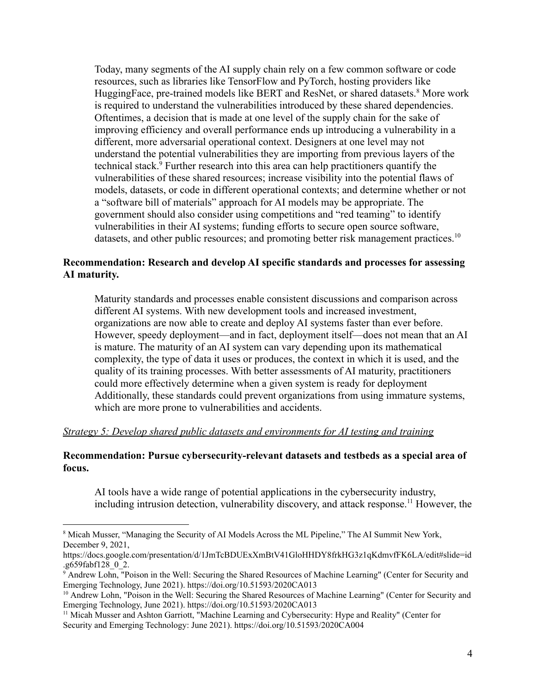Today, many segments of the AI supply chain rely on a few common software or code resources, such as libraries like TensorFlow and PyTorch, hosting providers like HuggingFace, pre-trained models like BERT and ResNet, or shared datasets.<sup>8</sup> More work is required to understand the vulnerabilities introduced by these shared dependencies. Oftentimes, a decision that is made at one level of the supply chain for the sake of improving efficiency and overall performance ends up introducing a vulnerability in a different, more adversarial operational context. Designers at one level may not understand the potential vulnerabilities they are importing from previous layers of the technical stack.<sup>9</sup> Further research into this area can help practitioners quantify the vulnerabilities of these shared resources; increase visibility into the potential flaws of models, datasets, or code in different operational contexts; and determine whether or not a "software bill of materials" approach for AI models may be appropriate. The government should also consider using competitions and "red teaming" to identify vulnerabilities in their AI systems; funding efforts to secure open source software, datasets, and other public resources; and promoting better risk management practices.<sup>10</sup>

### **Recommendation: Research and develop AI specific standards and processes for assessing AI maturity.**

Maturity standards and processes enable consistent discussions and comparison across different AI systems. With new development tools and increased investment, organizations are now able to create and deploy AI systems faster than ever before. However, speedy deployment—and in fact, deployment itself—does not mean that an AI is mature. The maturity of an AI system can vary depending upon its mathematical complexity, the type of data it uses or produces, the context in which it is used, and the quality of its training processes. With better assessments of AI maturity, practitioners could more effectively determine when a given system is ready for deployment Additionally, these standards could prevent organizations from using immature systems, which are more prone to vulnerabilities and accidents.

#### *Strategy 5: Develop shared public datasets and environments for AI testing and training*

#### **Recommendation: Pursue cybersecurity-relevant datasets and testbeds as a special area of focus.**

AI tools have a wide range of potential applications in the cybersecurity industry, including intrusion detection, vulnerability discovery, and attack response.<sup>11</sup> However, the

<sup>&</sup>lt;sup>8</sup> Micah Musser, "Managing the Security of AI Models Across the ML Pipeline," The AI Summit New York, December 9, 2021,

https://docs.google.com/presentation/d/1JmTcBDUExXmBtV41GloHHDY8frkHG3z1qKdmvfFK6LA/edit#slide=id .g659fabf128\_0\_2.

<sup>&</sup>lt;sup>9</sup> Andrew Lohn, "Poison in the Well: Securing the Shared Resources of Machine Learning" (Center for Security and Emerging Technology, June 2021). https://doi.org/10.51593/2020CA013

<sup>&</sup>lt;sup>10</sup> Andrew Lohn, "Poison in the Well: Securing the Shared Resources of Machine Learning" (Center for Security and Emerging Technology, June 2021). https://doi.org/10.51593/2020CA013

<sup>&</sup>lt;sup>11</sup> Micah Musser and Ashton Garriott, "Machine Learning and Cybersecurity: Hype and Reality" (Center for Security and Emerging Technology: June 2021). https://doi.org/10.51593/2020CA004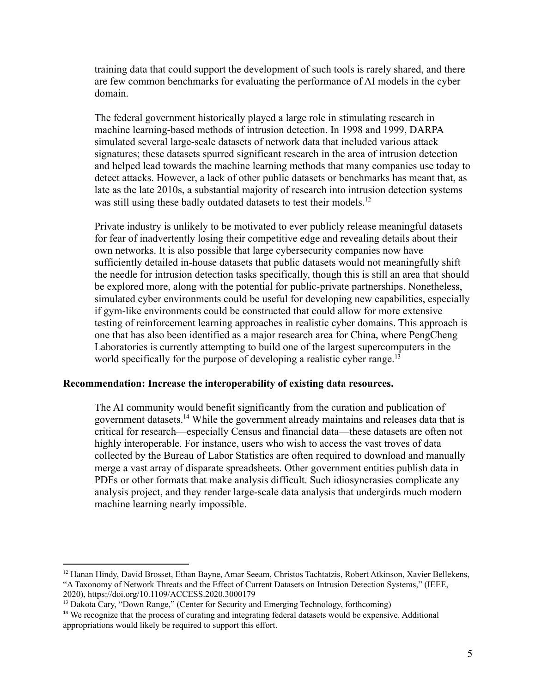training data that could support the development of such tools is rarely shared, and there are few common benchmarks for evaluating the performance of AI models in the cyber domain.

The federal government historically played a large role in stimulating research in machine learning-based methods of intrusion detection. In 1998 and 1999, DARPA simulated several large-scale datasets of network data that included various attack signatures; these datasets spurred significant research in the area of intrusion detection and helped lead towards the machine learning methods that many companies use today to detect attacks. However, a lack of other public datasets or benchmarks has meant that, as late as the late 2010s, a substantial majority of research into intrusion detection systems was still using these badly outdated datasets to test their models.<sup>12</sup>

Private industry is unlikely to be motivated to ever publicly release meaningful datasets for fear of inadvertently losing their competitive edge and revealing details about their own networks. It is also possible that large cybersecurity companies now have sufficiently detailed in-house datasets that public datasets would not meaningfully shift the needle for intrusion detection tasks specifically, though this is still an area that should be explored more, along with the potential for public-private partnerships. Nonetheless, simulated cyber environments could be useful for developing new capabilities, especially if gym-like environments could be constructed that could allow for more extensive testing of reinforcement learning approaches in realistic cyber domains. This approach is one that has also been identified as a major research area for China, where PengCheng Laboratories is currently attempting to build one of the largest supercomputers in the world specifically for the purpose of developing a realistic cyber range.<sup>13</sup>

### **Recommendation: Increase the interoperability of existing data resources.**

The AI community would benefit significantly from the curation and publication of government datasets.<sup>14</sup> While the government already maintains and releases data that is critical for research—especially Census and financial data—these datasets are often not highly interoperable. For instance, users who wish to access the vast troves of data collected by the Bureau of Labor Statistics are often required to download and manually merge a vast array of disparate spreadsheets. Other government entities publish data in PDFs or other formats that make analysis difficult. Such idiosyncrasies complicate any analysis project, and they render large-scale data analysis that undergirds much modern machine learning nearly impossible.

<sup>&</sup>lt;sup>12</sup> Hanan Hindy, David Brosset, Ethan Bayne, Amar Seeam, Christos Tachtatzis, Robert Atkinson, Xavier Bellekens, "A Taxonomy of Network Threats and the Effect of Current Datasets on Intrusion Detection Systems," (IEEE, 2020), https://doi.org/10.1109/ACCESS.2020.3000179

<sup>&</sup>lt;sup>13</sup> Dakota Cary, "Down Range," (Center for Security and Emerging Technology, forthcoming)

<sup>&</sup>lt;sup>14</sup> We recognize that the process of curating and integrating federal datasets would be expensive. Additional appropriations would likely be required to support this effort.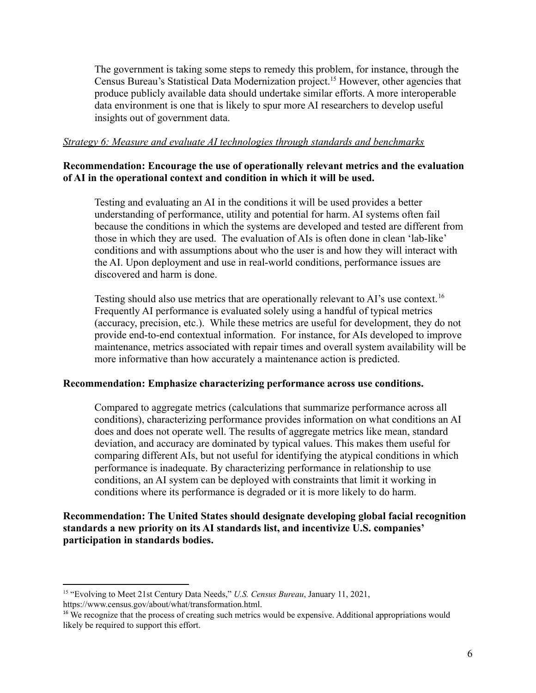The government is taking some steps to remedy this problem, for instance, through the Census Bureau's Statistical Data Modernization project.<sup>15</sup> However, other agencies that produce publicly available data should undertake similar efforts. A more interoperable data environment is one that is likely to spur more AI researchers to develop useful insights out of government data.

### *Strategy 6: Measure and evaluate AI technologies through standards and benchmarks*

### **Recommendation: Encourage the use of operationally relevant metrics and the evaluation of AI in the operational context and condition in which it will be used.**

Testing and evaluating an AI in the conditions it will be used provides a better understanding of performance, utility and potential for harm. AI systems often fail because the conditions in which the systems are developed and tested are different from those in which they are used. The evaluation of AIs is often done in clean 'lab-like' conditions and with assumptions about who the user is and how they will interact with the AI. Upon deployment and use in real-world conditions, performance issues are discovered and harm is done.

Testing should also use metrics that are operationally relevant to AI's use context.<sup>16</sup> Frequently AI performance is evaluated solely using a handful of typical metrics (accuracy, precision, etc.). While these metrics are useful for development, they do not provide end-to-end contextual information. For instance, for AIs developed to improve maintenance, metrics associated with repair times and overall system availability will be more informative than how accurately a maintenance action is predicted.

### **Recommendation: Emphasize characterizing performance across use conditions.**

Compared to aggregate metrics (calculations that summarize performance across all conditions), characterizing performance provides information on what conditions an AI does and does not operate well. The results of aggregate metrics like mean, standard deviation, and accuracy are dominated by typical values. This makes them useful for comparing different AIs, but not useful for identifying the atypical conditions in which performance is inadequate. By characterizing performance in relationship to use conditions, an AI system can be deployed with constraints that limit it working in conditions where its performance is degraded or it is more likely to do harm.

**Recommendation: The United States should designate developing global facial recognition standards a new priority on its AI standards list, and incentivize U.S. companies' participation in standards bodies.**

<sup>15</sup> "Evolving to Meet 21st Century Data Needs," *U.S. Census Bureau*, January 11, 2021, https://www.census.gov/about/what/transformation.html.

<sup>&</sup>lt;sup>16</sup> We recognize that the process of creating such metrics would be expensive. Additional appropriations would likely be required to support this effort.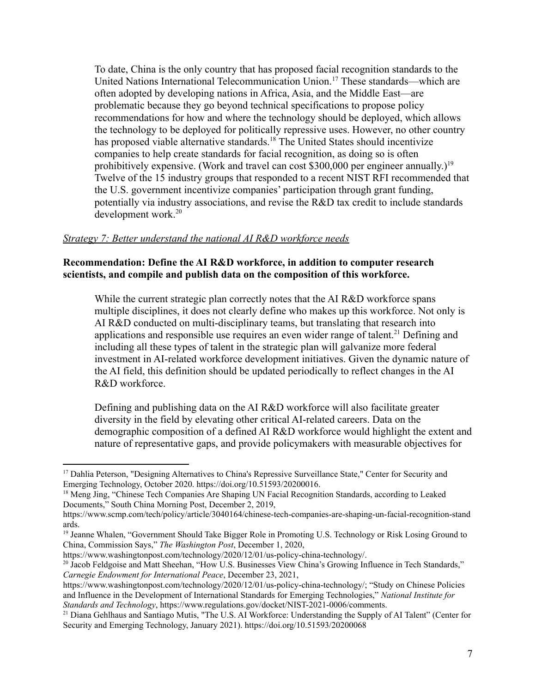To date, China is the only country that has proposed facial recognition standards to the United Nations International Telecommunication Union.<sup>17</sup> These standards—which are often adopted by developing nations in Africa, Asia, and the Middle East—are problematic because they go beyond technical specifications to propose policy recommendations for how and where the technology should be deployed, which allows the technology to be deployed for politically repressive uses. However, no other country has proposed viable alternative standards.<sup>18</sup> The United States should incentivize companies to help create standards for facial recognition, as doing so is often prohibitively expensive. (Work and travel can cost \$300,000 per engineer annually.)<sup>19</sup> Twelve of the 15 industry groups that responded to a recent NIST RFI recommended that the U.S. government incentivize companies' participation through grant funding, potentially via industry associations, and revise the R&D tax credit to include standards development work.<sup>20</sup>

### *Strategy 7: Better understand the national AI R&D workforce needs*

### **Recommendation: Define the AI R&D workforce, in addition to computer research scientists, and compile and publish data on the composition of this workforce.**

While the current strategic plan correctly notes that the AI R&D workforce spans multiple disciplines, it does not clearly define who makes up this workforce. Not only is AI R&D conducted on multi-disciplinary teams, but translating that research into applications and responsible use requires an even wider range of talent.<sup>21</sup> Defining and including all these types of talent in the strategic plan will galvanize more federal investment in AI-related workforce development initiatives. Given the dynamic nature of the AI field, this definition should be updated periodically to reflect changes in the AI R&D workforce.

Defining and publishing data on the AI R&D workforce will also facilitate greater diversity in the field by elevating other critical AI-related careers. Data on the demographic composition of a defined AI R&D workforce would highlight the extent and nature of representative gaps, and provide policymakers with measurable objectives for

<sup>&</sup>lt;sup>17</sup> Dahlia Peterson, "Designing Alternatives to China's Repressive Surveillance State," Center for Security and Emerging Technology, October 2020. https://doi.org/10.51593/20200016.

<sup>&</sup>lt;sup>18</sup> Meng Jing, "Chinese Tech Companies Are Shaping UN Facial Recognition Standards, according to Leaked Documents," South China Morning Post, December 2, 2019,

https://www.scmp.com/tech/policy/article/3040164/chinese-tech-companies-are-shaping-un-facial-recognition-stand ards.

<sup>&</sup>lt;sup>19</sup> Jeanne Whalen, "Government Should Take Bigger Role in Promoting U.S. Technology or Risk Losing Ground to China, Commission Says," *The Washington Post*, December 1, 2020,

https://www.washingtonpost.com/technology/2020/12/01/us-policy-china-technology/.

<sup>&</sup>lt;sup>20</sup> Jacob Feldgoise and Matt Sheehan, "How U.S. Businesses View China's Growing Influence in Tech Standards," *Carnegie Endowment for International Peace*, December 23, 2021,

https://www.washingtonpost.com/technology/2020/12/01/us-policy-china-technology/; "Study on Chinese Policies and Influence in the Development of International Standards for Emerging Technologies," *National Institute for Standards and Technology*, https://www.regulations.gov/docket/NIST-2021-0006/comments.

<sup>&</sup>lt;sup>21</sup> Diana Gehlhaus and Santiago Mutis, "The U.S. AI Workforce: Understanding the Supply of AI Talent" (Center for Security and Emerging Technology, January 2021). https://doi.org/10.51593/20200068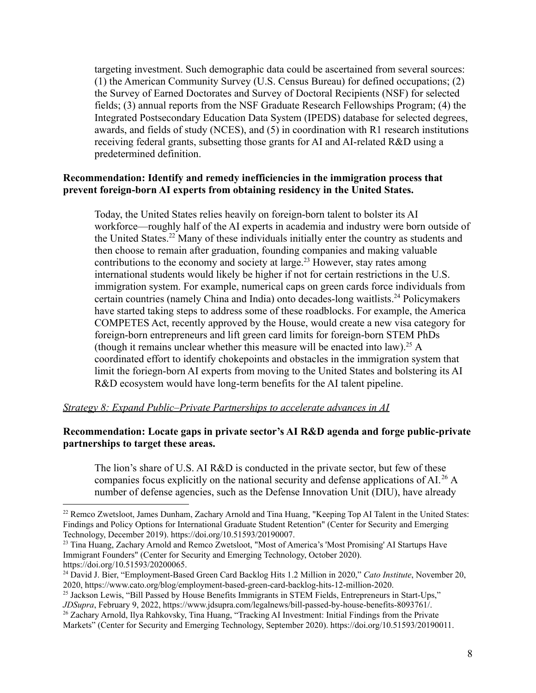targeting investment. Such demographic data could be ascertained from several sources: (1) the American Community Survey (U.S. Census Bureau) for defined occupations; (2) the Survey of Earned Doctorates and Survey of Doctoral Recipients (NSF) for selected fields; (3) annual reports from the NSF Graduate Research Fellowships Program; (4) the Integrated Postsecondary Education Data System (IPEDS) database for selected degrees, awards, and fields of study (NCES), and (5) in coordination with R1 research institutions receiving federal grants, subsetting those grants for AI and AI-related R&D using a predetermined definition.

### **Recommendation: Identify and remedy inefficiencies in the immigration process that prevent foreign-born AI experts from obtaining residency in the United States.**

Today, the United States relies heavily on foreign-born talent to bolster its AI workforce—roughly half of the AI experts in academia and industry were born outside of the United States.<sup>22</sup> Many of these individuals initially enter the country as students and then choose to remain after graduation, founding companies and making valuable contributions to the economy and society at large.<sup>23</sup> However, stay rates among international students would likely be higher if not for certain restrictions in the U.S. immigration system. For example, numerical caps on green cards force individuals from certain countries (namely China and India) onto decades-long waitlists.<sup>24</sup> Policymakers have started taking steps to address some of these roadblocks. For example, the America COMPETES Act, recently approved by the House, would create a new visa category for foreign-born entrepreneurs and lift green card limits for foreign-born STEM PhDs (though it remains unclear whether this measure will be enacted into law).<sup>25</sup> A coordinated effort to identify chokepoints and obstacles in the immigration system that limit the foriegn-born AI experts from moving to the United States and bolstering its AI R&D ecosystem would have long-term benefits for the AI talent pipeline.

### *Strategy 8: Expand Public–Private Partnerships to accelerate advances in AI*

### **Recommendation: Locate gaps in private sector's AI R&D agenda and forge public-private partnerships to target these areas.**

The lion's share of U.S. AI R&D is conducted in the private sector, but few of these companies focus explicitly on the national security and defense applications of AI.<sup>26</sup> A number of defense agencies, such as the Defense Innovation Unit (DIU), have already

<sup>&</sup>lt;sup>22</sup> Remco Zwetsloot, James Dunham, Zachary Arnold and Tina Huang, "Keeping Top AI Talent in the United States: Findings and Policy Options for International Graduate Student Retention" (Center for Security and Emerging Technology, December 2019). https://doi.org/10.51593/20190007.

<sup>&</sup>lt;sup>23</sup> Tina Huang, Zachary Arnold and Remco Zwetsloot, "Most of America's 'Most Promising' AI Startups Have Immigrant Founders" (Center for Security and Emerging Technology, October 2020). https://doi.org/10.51593/20200065.

<sup>24</sup> David J. Bier, "Employment-Based Green Card Backlog Hits 1.2 Million in 2020," *Cato Institute*, November 20, 2020, https://www.cato.org/blog/employment-based-green-card-backlog-hits-12-million-2020.

<sup>&</sup>lt;sup>25</sup> Jackson Lewis, "Bill Passed by House Benefits Immigrants in STEM Fields, Entrepreneurs in Start-Ups," *JDSupra*, February 9, 2022, https://www.jdsupra.com/legalnews/bill-passed-by-house-benefits-8093761/.

<sup>&</sup>lt;sup>26</sup> Zachary Arnold, Ilya Rahkovsky, Tina Huang, "Tracking AI Investment: Initial Findings from the Private Markets" (Center for Security and Emerging Technology, September 2020). https://doi.org/10.51593/20190011.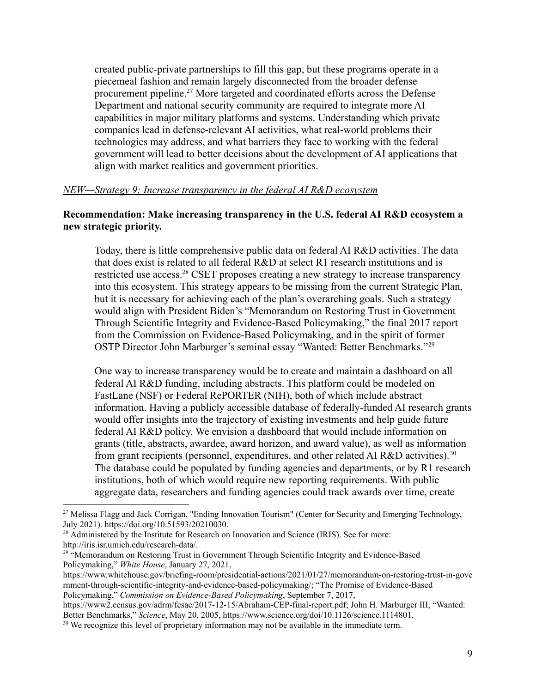created public-private partnerships to fill this gap, but these programs operate in a piecemeal fashion and remain largely disconnected from the broader defense procurement pipeline.<sup>27</sup> More targeted and coordinated efforts across the Defense Department and national security community are required to integrate more AI capabilities in major military platforms and systems. Understanding which private companies lead in defense-relevant AI activities, what real-world problems their technologies may address, and what barriers they face to working with the federal government will lead to better decisions about the development of AI applications that align with market realities and government priorities.

#### *NEW—Strategy 9: Increase transparency in the federal AI R&D ecosystem*

### **Recommendation: Make increasing transparency in the U.S. federal AI R&D ecosystem a new strategic priority.**

Today, there is little comprehensive public data on federal AI R&D activities. The data that does exist is related to all federal R&D at select R1 research institutions and is restricted use access.<sup>28</sup> CSET proposes creating a new strategy to increase transparency into this ecosystem. This strategy appears to be missing from the current Strategic Plan, but it is necessary for achieving each of the plan's overarching goals. Such a strategy would align with President Biden's "Memorandum on Restoring Trust in Government Through Scientific Integrity and Evidence-Based Policymaking," the final 2017 report from the Commission on Evidence-Based Policymaking, and in the spirit of former OSTP Director John Marburger's seminal essay "Wanted: Better Benchmarks."<sup>29</sup>

One way to increase transparency would be to create and maintain a dashboard on all federal AI R&D funding, including abstracts. This platform could be modeled on FastLane (NSF) or Federal RePORTER (NIH), both of which include abstract information. Having a publicly accessible database of federally-funded AI research grants would offer insights into the trajectory of existing investments and help guide future federal AI R&D policy. We envision a dashboard that would include information on grants (title, abstracts, awardee, award horizon, and award value), as well as information from grant recipients (personnel, expenditures, and other related AI R&D activities).<sup>30</sup> The database could be populated by funding agencies and departments, or by R1 research institutions, both of which would require new reporting requirements. With public aggregate data, researchers and funding agencies could track awards over time, create

<sup>&</sup>lt;sup>27</sup> Melissa Flagg and Jack Corrigan, "Ending Innovation Tourism" (Center for Security and Emerging Technology, July 2021). https://doi.org/10.51593/20210030.

<sup>&</sup>lt;sup>28</sup> Administered by the Institute for Research on Innovation and Science (IRIS). See for more: http://iris.isr.umich.edu/research-data/.

<sup>&</sup>lt;sup>29 "</sup>Memorandum on Restoring Trust in Government Through Scientific Integrity and Evidence-Based Policymaking," *White House*, January 27, 2021,

https://www.whitehouse.gov/briefing-room/presidential-actions/2021/01/27/memorandum-on-restoring-trust-in-gove rnment-through-scientific-integrity-and-evidence-based-policymaking/; "The Promise of Evidence-Based Policymaking," *Commission on Evidence-Based Policymaking*, September 7, 2017,

https://www2.census.gov/adrm/fesac/2017-12-15/Abraham-CEP-final-report.pdf; John H. Marburger III, "Wanted: Better Benchmarks," *Science*, May 20, 2005, https://www.science.org/doi/10.1126/science.1114801.

<sup>&</sup>lt;sup>30</sup> We recognize this level of proprietary information may not be available in the immediate term.